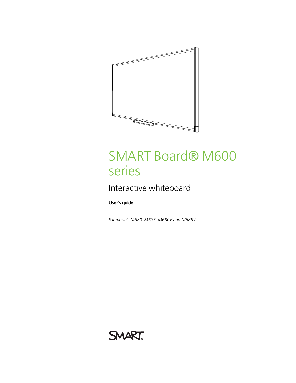

# SMART Board® M600 series

# Interactive whiteboard

**User's guide**

*For models M680, M685, M680V and M685V*

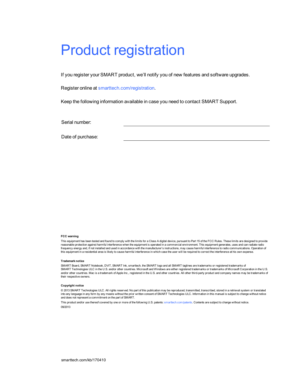# Product registration

If you register your SMART product, we'll notify you of new features and software upgrades.

Register online at [smarttech.com/registration.](http://www.smarttech.com/registration)

Keep the following information available in case you need to contact SMART Support.

Serial number:

Date of purchase:

#### **FCC warning**

This equipment has been tested and found to comply with the limits for a Class A digital device, pursuant to Part 15 of the FCC Rules. These limits are designed to provide reasonable protection against harmful interference when the equipment is operated in a commercial environment. This equipment generates, uses and can radiate radio frequency energy and, if not installed and used in accordance with the manufacturer's instructions, may cause harmful interference to radio communications. Operation of this equipment in a residential area is likely to cause harmful interference in which case the user will be required to correct the interference at his own expense.

#### **Trademark notice**

SMART Board, SMART Notebook, DViT, SMART Ink, smarttech, the SMART logo and all SMART taglines are trademarks or registered trademarks of SMART Technologies ULC in the U.S. and/or other countries. Microsoft and Windows are either registered trademarks or trademarks of Microsoft Corporation in the U.S. and/or other countries. Mac is a trademark of Apple Inc., registered in the U.S. and other countries. All other third-party product and company names may be trademarks of their respective owners.

#### **Copyright notice**

© 2013 SMART Technologies ULC. All rights reserved. No part of this publication may be reproduced, transmitted, transcribed, stored in a retrieval system or translated into any language in any form by any means without the prior written consent of SMART Technologies ULC. Information in this manual is subject to change without notice and does not represent a commitment on the part of SMART.

This product and/or use thereof covered by one or more of the following U.S. patents: [smarttech.com/patents.](http://www.smarttech.com/patents) Contents are subject to change without notice. 09/2013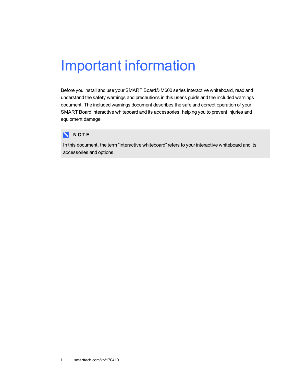# <span id="page-2-0"></span>Important information

Before you install and use your SMART Board® M600 series interactive whiteboard, read and understand the safety warnings and precautions in this user's guide and the included warnings document. The included warnings document describes the safe and correct operation of your SMART Board interactive whiteboard and its accessories, helping you to prevent injuries and equipment damage.

## **NOTE**

In this document, the term "interactive whiteboard" refers to your interactive whiteboard and its accessories and options.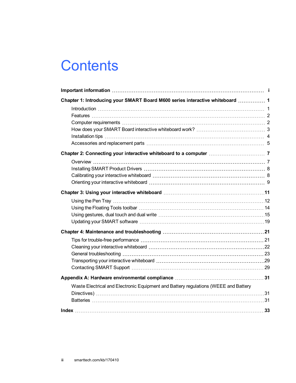# **Contents**

| Chapter 1: Introducing your SMART Board M600 series interactive whiteboard  1       |  |
|-------------------------------------------------------------------------------------|--|
|                                                                                     |  |
|                                                                                     |  |
|                                                                                     |  |
|                                                                                     |  |
|                                                                                     |  |
|                                                                                     |  |
|                                                                                     |  |
|                                                                                     |  |
|                                                                                     |  |
|                                                                                     |  |
|                                                                                     |  |
|                                                                                     |  |
|                                                                                     |  |
|                                                                                     |  |
|                                                                                     |  |
|                                                                                     |  |
|                                                                                     |  |
|                                                                                     |  |
|                                                                                     |  |
|                                                                                     |  |
|                                                                                     |  |
|                                                                                     |  |
|                                                                                     |  |
| Waste Electrical and Electronic Equipment and Battery regulations (WEEE and Battery |  |
|                                                                                     |  |
|                                                                                     |  |
|                                                                                     |  |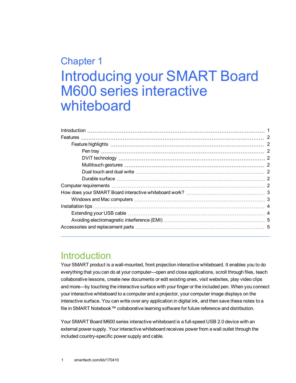# <span id="page-6-0"></span>Chapter 1 Introducing your SMART Board M600 series interactive whiteboard

# <span id="page-6-2"></span><span id="page-6-1"></span>**Introduction**

Your SMART product is a wall-mounted, front projection interactive whiteboard. It enables you to do everything that you can do at your computer—open and close applications, scroll through files, teach collaborative lessons, create new documents or edit existing ones, visit websites, play video clips and more—by touching the interactive surface with your finger or the included pen. When you connect your interactive whiteboard to a computer and a projector, your computer image displays on the interactive surface. You can write over any application in digital ink, and then save these notes to a file in SMART Notebook™ collaborative learning software for future reference and distribution.

Your SMART Board M600 series interactive whiteboard is a full-speed USB 2.0 device with an external power supply. Your interactive whiteboard receives power from a wall outlet through the included country-specific power supply and cable.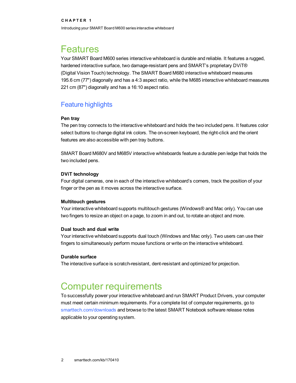# <span id="page-7-8"></span><span id="page-7-0"></span>**Features**

Your SMART Board M600 series interactive whiteboard is durable and reliable. It features a rugged, hardened interactive surface, two damage-resistant pens and SMART's proprietary DViT® (Digital Vision Touch) technology. The SMART Board M680 interactive whiteboard measures 195.6 cm (77") diagonally and has a 4:3 aspect ratio, while the M685 interactive whiteboard measures 221 cm (87") diagonally and has a 16:10 aspect ratio.

## <span id="page-7-2"></span>Feature highlights

### <span id="page-7-3"></span>**Pen tray**

The pen tray connects to the interactive whiteboard and holds the two included pens. It features color select buttons to change digital ink colors. The on-screen keyboard, the right-click and the orient features are also accessible with pen tray buttons.

SMART Board M680V and M685V interactive whiteboards feature a durable pen ledge that holds the two included pens.

### <span id="page-7-4"></span>**DViT technology**

Four digital cameras, one in each of the interactive whiteboard's corners, track the position of your finger or the pen as it moves across the interactive surface.

#### <span id="page-7-5"></span>**Multitouch gestures**

Your interactive whiteboard supports multitouch gestures (Windows® and Mac only). You can use two fingers to resize an object on a page, to zoom in and out, to rotate an object and more.

### <span id="page-7-6"></span>**Dual touch and dual write**

Your interactive whiteboard supports dual touch (Windows and Mac only). Two users can use their fingers to simultaneously perform mouse functions or write on the interactive whiteboard.

### <span id="page-7-7"></span>**Durable surface**

<span id="page-7-1"></span>The interactive surface is scratch-resistant, dent-resistant and optimized for projection.

# Computer requirements

To successfully power your interactive whiteboard and run SMART Product Drivers, your computer must meet certain minimum requirements. For a complete list of computer requirements, go to [smarttech.com/downloads](http://www.smarttech.com/downloads) and browse to the latest SMART Notebook software release notes applicable to your operating system.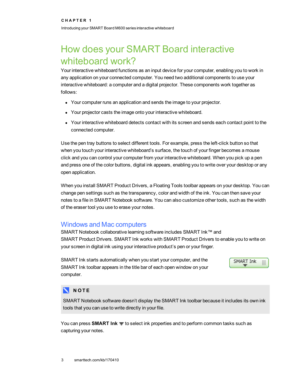<span id="page-8-0"></span>Introducing your SMART Board M600 series interactive whiteboard

# How does your SMART Board interactive whiteboard work?

Your interactive whiteboard functions as an input device for your computer, enabling you to work in any application on your connected computer. You need two additional components to use your interactive whiteboard: a computer and a digital projector. These components work together as follows:

- Your computer runs an application and sends the image to your projector.
- Your projector casts the image onto your interactive whiteboard.
- Your interactive whiteboard detects contact with its screen and sends each contact point to the connected computer.

Use the pen tray buttons to select different tools. For example, press the left-click button so that when you touch your interactive whiteboard's surface, the touch of your finger becomes a mouse click and you can control your computer from your interactive whiteboard. When you pick up a pen and press one of the color buttons, digital ink appears, enabling you to write over your desktop or any open application.

<span id="page-8-3"></span>When you install SMART Product Drivers, a Floating Tools toolbar appears on your desktop. You can change pen settings such as the transparency, color and width of the ink. You can then save your notes to a file in SMART Notebook software. You can also customize other tools, such as the width of the eraser tool you use to erase your notes.

## <span id="page-8-2"></span><span id="page-8-1"></span>Windows and Mac computers

SMART Notebook collaborative learning software includes SMART Ink™ and SMART Product Drivers. SMART Ink works with SMART Product Drivers to enable you to write on your screen in digital ink using your interactive product's pen or your finger.

SMART Ink starts automatically when you start your computer, and the SMART Ink toolbar appears in the title bar of each open window on your computer.

SMART Ink ₩

## **NOTE**

SMART Notebook software doesn't display the SMART Ink toolbar because it includes its own ink tools that you can use to write directly in your file.

You can press **SMART Ink**  $\blacktriangledown$  to select ink properties and to perform common tasks such as capturing your notes.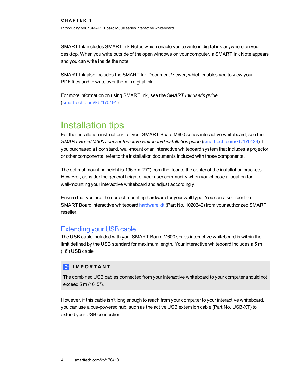SMART Ink includes SMART Ink Notes which enable you to write in digital ink anywhere on your desktop. When you write outside of the open windows on your computer, a SMART Ink Note appears and you can write inside the note.

SMART Ink also includes the SMART Ink Document Viewer, which enables you to view your PDF files and to write over them in digital ink.

For more information on using SMART Ink, see the *SMART Ink user's guide* [\(smarttech.com/kb/170191](http://www.smarttech.com/kb/170191)).

# <span id="page-9-0"></span>Installation tips

For the installation instructions for your SMART Board M600 series interactive whiteboard, see the *SMART Board M600 series interactive whiteboard installation guide* [\(smarttech.com/kb/170429](http://www.smarttech.com/kb/170429)). If you purchased a floor stand, wall-mount or an interactive whiteboard system that includes a projector or other components, refer to the installation documents included with those components.

The optimal mounting height is 196 cm (77") from the floor to the center of the installation brackets. However, consider the general height of your user community when you choose a location for wall-mounting your interactive whiteboard and adjust accordingly.

Ensure that you use the correct mounting hardware for your wall type. You can also order the SMART Board interactive whiteboard [hardware](http://www.smarttech.com/kb/170475) kit (Part No. 1020342) from your authorized SMART reseller.

## <span id="page-9-1"></span>Extending your USB cable

The USB cable included with your SMART Board M600 series interactive whiteboard is within the limit defined by the USB standard for maximum length. Your interactive whiteboard includes a 5 m (16') USB cable.

## *<b>I* IMPORTANT

The combined USB cables connected from your interactive whiteboard to your computer should not exceed 5 m (16' 5").

However, if this cable isn't long enough to reach from your computer to your interactive whiteboard, you can use a bus-powered hub, such as the active USB extension cable (Part No. USB-XT) to extend your USB connection.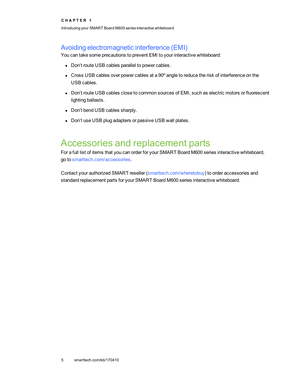Introducing your SMART Board M600 series interactive whiteboard

## <span id="page-10-1"></span>Avoiding electromagnetic interference (EMI)

You can take some precautions to prevent EMI to your interactive whiteboard:

- Don't route USB cables parallel to power cables.
- Cross USB cables over power cables at a 90° angle to reduce the risk of interference on the USB cables.
- Don't route USB cables close to common sources of EMI, such as electric motors or fluorescent lighting ballasts.
- Don't bend USB cables sharply.
- <span id="page-10-0"></span>• Don't use USB plug adapters or passive USB wall plates.

# Accessories and replacement parts

For a full list of items that you can order for your SMART Board M600 series interactive whiteboard, go to [smarttech.com/accessories](http://www.smarttech.com/accessories).

<span id="page-10-2"></span>Contact your authorized SMART reseller [\(smarttech.com/wheretobuy\)](http://www.smarttech.com/wheretobuy) to order accessories and standard replacement parts for your SMART Board M600 series interactive whiteboard.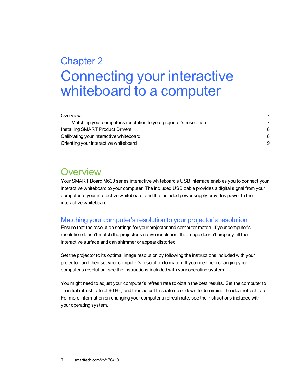# <span id="page-12-0"></span>Chapter 2 Connecting your interactive whiteboard to a computer

# <span id="page-12-1"></span>**Overview**

Your SMART Board M600 series interactive whiteboard's USB interface enables you to connect your interactive whiteboard to your computer. The included USB cable provides a digital signal from your computer to your interactive whiteboard, and the included power supply provides power to the interactive whiteboard.

## <span id="page-12-2"></span>Matching your computer's resolution to your projector's resolution

Ensure that the resolution settings for your projector and computer match. If your computer's resolution doesn't match the projector's native resolution, the image doesn't properly fill the interactive surface and can shimmer or appear distorted.

Set the projector to its optimal image resolution by following the instructions included with your projector, and then set your computer's resolution to match. If you need help changing your computer's resolution, see the instructions included with your operating system.

<span id="page-12-3"></span>You might need to adjust your computer's refresh rate to obtain the best results. Set the computer to an initial refresh rate of 60 Hz, and then adjust this rate up or down to determine the ideal refresh rate. For more information on changing your computer's refresh rate, see the instructions included with your operating system.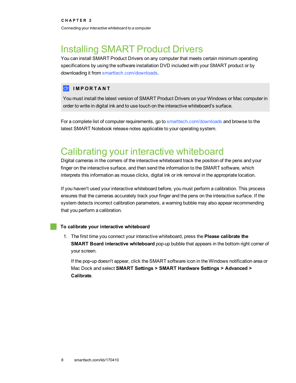# <span id="page-13-0"></span>Installing SMART Product Drivers

You can install SMART Product Drivers on any computer that meets certain minimum operating specifications by using the software installation DVD included with your SMART product or by downloading it from [smarttech.com/downloads](http://www.smarttech.com/downloads).

## **I M P O R T A N T**

You must install the latest version of SMART Product Drivers on your Windows or Mac computer in order to write in digital ink and to use touch on the interactive whiteboard's surface.

For a complete list of computer requirements, go to [smarttech.com/downloads](http://www.smarttech.com/downloads) and browse to the latest SMART Notebook release notes applicable to your operating system.

# <span id="page-13-1"></span>Calibrating your interactive whiteboard

Digital cameras in the corners of the interactive whiteboard track the position of the pens and your finger on the interactive surface, and then send the information to the SMART software, which interprets this information as mouse clicks, digital ink or ink removal in the appropriate location.

If you haven't used your interactive whiteboard before, you must perform a calibration. This process ensures that the cameras accurately track your finger and the pens on the interactive surface. If the system detects incorrect calibration parameters, a warning bubble may also appear recommending that you perform a calibration.

#### **To calibrate your interactive whiteboard**

1. The first time you connect your interactive whiteboard, press the **Please calibrate the SMART Board interactive whiteboard** pop-up bubble that appears in the bottom right corner of your screen.

If the pop-up doesn't appear, click the SMART software icon in the Windows notification area or Mac Dock and select **SMART Settings > SMART Hardware Settings > Advanced > Calibrate**.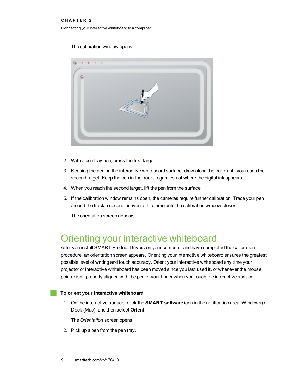Connecting your interactive whiteboard to a computer

The calibration window opens.



- 2. With a pen tray pen, press the first target.
- 3. Keeping the pen on the interactive whiteboard surface, draw along the track until you reach the second target. Keep the pen in the track, regardless of where the digital ink appears.
- 4. When you reach the second target, lift the pen from the surface.
- 5. If the calibration window remains open, the cameras require further calibration. Trace your pen around the track a second or even a third time until the calibration window closes.

<span id="page-14-0"></span>The orientation screen appears.

# Orienting your interactive whiteboard

After you install SMART Product Drivers on your computer and have completed the calibration procedure, an orientation screen appears. Orienting your interactive whiteboard ensures the greatest possible level of writing and touch accuracy. Orient your interactive whiteboard any time your projector or interactive whiteboard has been moved since you last used it, or whenever the mouse pointer isn't properly aligned with the pen or your finger when you touch the interactive surface.

#### **To orient your interactive whiteboard**

1. On the interactive surface, click the **SMART software** icon in the notification area (Windows) or Dock (Mac), and then select **Orient**.

The *Orientation* screen opens.

2. Pick up a pen from the pen tray.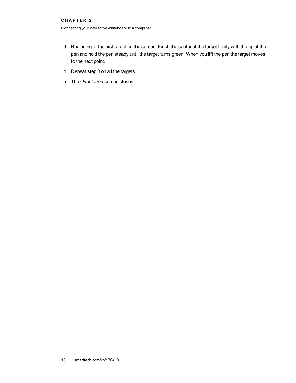Connecting your interactive whiteboard to a computer

- 3. Beginning at the first target on the screen, touch the center of the target firmly with the tip of the pen and hold the pen steady until the target turns green. When you lift the pen the target moves to the next point.
- 4. Repeat step 3 on all the targets.
- 5. The *Orientation* screen closes.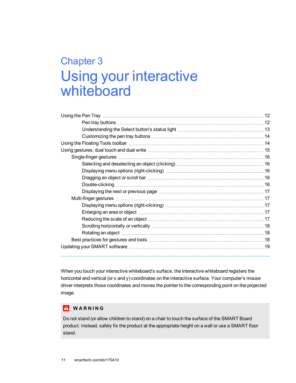# <span id="page-16-0"></span>Chapter 3 Using your interactive whiteboard

| Single-finger gestures with the continuum control of the control of the control of the control of the control o |  |
|-----------------------------------------------------------------------------------------------------------------|--|
|                                                                                                                 |  |
|                                                                                                                 |  |
|                                                                                                                 |  |
|                                                                                                                 |  |
|                                                                                                                 |  |
|                                                                                                                 |  |
|                                                                                                                 |  |
|                                                                                                                 |  |
|                                                                                                                 |  |
|                                                                                                                 |  |
| Rotating an object …………………………………………………………………………………………18                                                         |  |
|                                                                                                                 |  |
|                                                                                                                 |  |

When you touch your interactive whiteboard's surface, the interactive whiteboard registers the horizontal and vertical (or x and y) coordinates on the interactive surface. Your computer's mouse driver interprets those coordinates and moves the pointer to the corresponding point on the projected image.

## **N** WARNING

Do not stand (or allow children to stand) on a chair to touch the surface of the SMART Board product. Instead, safely fix the product at the appropriate height on a wall or use a SMART floor stand.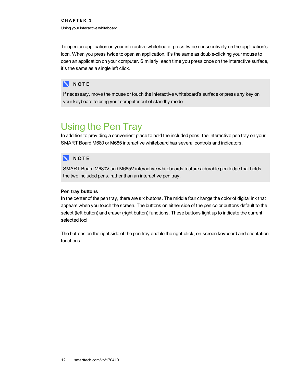To open an application on your interactive whiteboard, press twice consecutively on the application's icon. When you press twice to open an application, it's the same as double-clicking your mouse to open an application on your computer. Similarly, each time you press once on the interactive surface, it's the same as a single left click.

## **NOTE**

If necessary, move the mouse or touch the interactive whiteboard's surface or press any key on your keyboard to bring your computer out of standby mode.

# <span id="page-17-0"></span>Using the Pen Tray

In addition to providing a convenient place to hold the included pens, the interactive pen tray on your SMART Board M680 or M685 interactive whiteboard has several controls and indicators.

## **NOTE**

SMART Board M680V and M685V interactive whiteboards feature a durable pen ledge that holds the two included pens, rather than an interactive pen tray.

### <span id="page-17-1"></span>**Pen tray buttons**

In the center of the pen tray, there are six buttons. The middle four change the color of digital ink that appears when you touch the screen. The buttons on either side of the pen color buttons default to the select (left button) and eraser (right button) functions. These buttons light up to indicate the current selected tool.

The buttons on the right side of the pen tray enable the right-click, on-screen keyboard and orientation functions.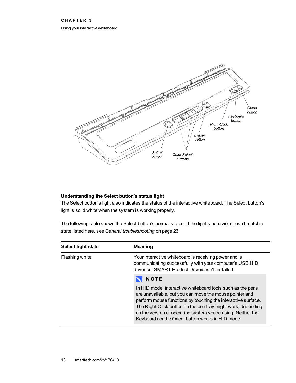Using your interactive whiteboard



#### <span id="page-18-0"></span>**Understanding the Select button's status light**

The Select button's light also indicates the status of the interactive whiteboard. The Select button's light is solid white when the system is working properly.

The following table shows the Select button's normal states. If the light's behavior doesn't match a state listed here, see *General [troubleshooting](#page-28-0)* on page 23.

| Select light state | Meaning                                                                                                                                                                                                                                                                                                                                                                    |  |
|--------------------|----------------------------------------------------------------------------------------------------------------------------------------------------------------------------------------------------------------------------------------------------------------------------------------------------------------------------------------------------------------------------|--|
| Flashing white     | Your interactive whiteboard is receiving power and is<br>communicating successfully with your computer's USB HID<br>driver but SMART Product Drivers isn't installed.                                                                                                                                                                                                      |  |
|                    | <b>NOTE</b>                                                                                                                                                                                                                                                                                                                                                                |  |
|                    | In HID mode, interactive whiteboard tools such as the pens<br>are unavailable, but you can move the mouse pointer and<br>perform mouse functions by touching the interactive surface.<br>The Right-Click button on the pen tray might work, depending<br>on the version of operating system you're using. Neither the<br>Keyboard nor the Orient button works in HID mode. |  |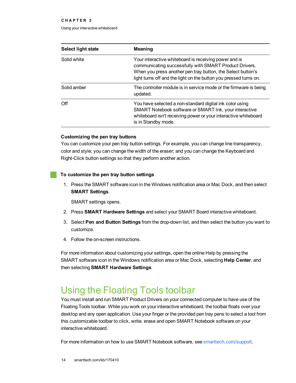Using your interactive whiteboard

| Select light state | Meaning                                                                                                                                                                                                                                             |  |
|--------------------|-----------------------------------------------------------------------------------------------------------------------------------------------------------------------------------------------------------------------------------------------------|--|
| Solid white        | Your interactive whiteboard is receiving power and is<br>communicating successfully with SMART Product Drivers.<br>When you press another pen tray button, the Select button's<br>light turns off and the light on the button you pressed turns on. |  |
| Solid amber        | The controller module is in service mode or the firmware is being<br>updated.                                                                                                                                                                       |  |
| Off                | You have selected a non-standard digital ink color using<br>SMART Notebook software or SMART Ink, your interactive<br>whiteboard isn't receiving power or your interactive whiteboard<br>is in Standby mode.                                        |  |

#### <span id="page-19-1"></span>**Customizing the pen tray buttons**

You can customize your pen tray button settings. For example, you can change line transparency, color and style; you can change the width of the eraser; and you can change the Keyboard and Right-Click button settings so that they perform another action.

#### **To customize the pen tray button settings**

1. Press the SMART software icon in the Windows notification area or Mac Dock, and then select **SMART Settings**.

SMART settings opens.

- 2. Press **SMART Hardware Settings** and select your SMART Board interactive whiteboard.
- 3. Select **Pen and Button Settings** from the drop-down list, and then select the button you want to customize.
- 4. Follow the on-screen instructions.

For more information about customizing your settings, open the online Help by pressing the SMART software icon in the Windows notification area or Mac Dock, selecting **Help Center**, and then selecting **SMART Hardware Settings**.

# <span id="page-19-0"></span>Using the Floating Tools toolbar

You must install and run SMART Product Drivers on your connected computer to have use of the Floating Tools toolbar. While you work on your interactive whiteboard, the toolbar floats over your desktop and any open application. Use your finger or the provided pen tray pens to select a tool from this customizable toolbar to click, write, erase and open SMART Notebook software on your interactive whiteboard.

For more information on how to use SMART Notebook software, see [smarttech.com/support](http://www.smarttech.com/support).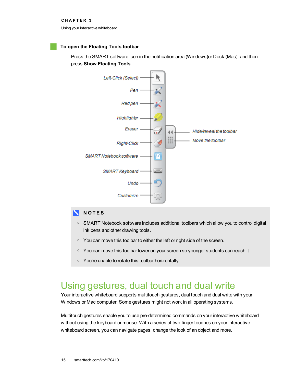Using your interactive whiteboard

#### **To open the Floating Tools toolbar**

Press the SMART software icon in the notification area (Windows)or Dock (Mac), and then press **Show Floating Tools**.



### **NOTES**

- o SMART Notebook software includes additional toolbars which allow you to control digital ink pens and other drawing tools.
- You can move this toolbar to either the left or right side of the screen.
- o You can move this toolbar lower on your screen so younger students can reach it.
- o You're unable to rotate this toolbar horizontally.

## <span id="page-20-0"></span>Using gestures, dual touch and dual write

Your interactive whiteboard supports multitouch gestures, dual touch and dual write with your Windows or Mac computer. Some gestures might not work in all operating systems.

Multitouch gestures enable you to use pre-determined commands on your interactive whiteboard without using the keyboard or mouse. With a series of two-finger touches on your interactive whiteboard screen, you can navigate pages, change the look of an object and more.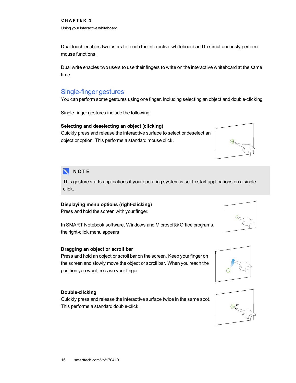Dual touch enables two users to touch the interactive whiteboard and to simultaneously perform mouse functions.

Dual write enables two users to use their fingers to write on the interactive whiteboard at the same time.

## <span id="page-21-0"></span>Single-finger gestures

You can perform some gestures using one finger, including selecting an object and double-clicking.

<span id="page-21-1"></span>Single-finger gestures include the following:

### **Selecting and deselecting an object (clicking)**

Quickly press and release the interactive surface to select or deselect an object or option. This performs a standard mouse click.



## **NOTE**

This gesture starts applications if your operating system is set to start applications on a single click.

### <span id="page-21-2"></span>**Displaying menu options (right-clicking)**

Press and hold the screen with your finger.

In SMART Notebook software, Windows and Microsoft® Office programs, the right-click menu appears.

#### <span id="page-21-3"></span>**Dragging an object or scroll bar**

Press and hold an object or scroll bar on the screen. Keep your finger on the screen and slowly move the object or scroll bar. When you reach the position you want, release your finger.

## <span id="page-21-4"></span>**Double-clicking**

Quickly press and release the interactive surface twice in the same spot. This performs a standard double-click.





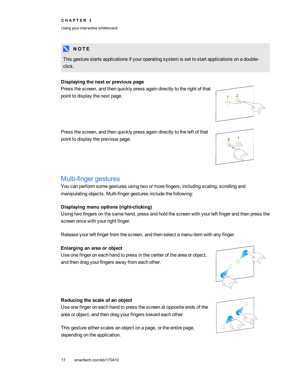Using your interactive whiteboard

## **NOTE**

This gesture starts applications if your operating system is set to start applications on a doubleclick.

### <span id="page-22-0"></span>**Displaying the next or previous page**

Press the screen, and then quickly press again directly to the right of that point to display the next page.



Press the screen, and then quickly press again directly to the left of that point to display the previous page.



<span id="page-22-1"></span>Multi-finger gestures

You can perform some gestures using two or more fingers, including scaling, scrolling and manipulating objects. Multi-finger gestures include the following:

#### <span id="page-22-2"></span>**Displaying menu options (right-clicking)**

Using two fingers on the same hand, press and hold the screen with your left finger and then press the screen once with your right finger.

<span id="page-22-3"></span>Release your left finger from the screen, and then select a menu item with any finger.

#### **Enlarging an area or object**

Use one finger on each hand to press in the center of the area or object, and then drag your fingers away from each other.

<span id="page-22-4"></span>

Use one finger on each hand to press the screen at opposite ends of the area or object, and then drag your fingers toward each other.

This gesture either scales an object on a page, or the entire page, depending on the application.



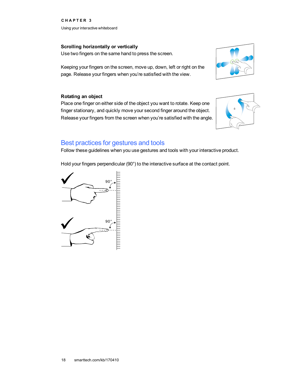**C H A P T E R 3** Using your interactive whiteboard

### <span id="page-23-0"></span>**Scrolling horizontally or vertically**

Use two fingers on the same hand to press the screen.

Keeping your fingers on the screen, move up, down, left or right on the page. Release your fingers when you're satisfied with the view.

<span id="page-23-1"></span>

Place one finger on either side of the object you want to rotate. Keep one finger stationary, and quickly move your second finger around the object. Release your fingers from the screen when you're satisfied with the angle.





## <span id="page-23-2"></span>Best practices for gestures and tools

Follow these guidelines when you use gestures and tools with your interactive product.

Hold your fingers perpendicular (90°) to the interactive surface at the contact point.

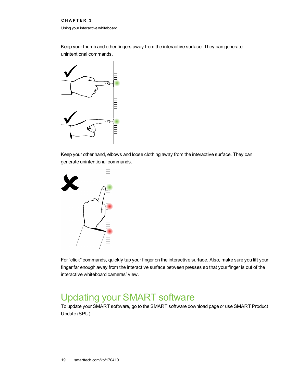Using your interactive whiteboard

Keep your thumb and other fingers away from the interactive surface. They can generate unintentional commands.



Keep your other hand, elbows and loose clothing away from the interactive surface. They can generate unintentional commands.



For "click" commands, quickly tap your finger on the interactive surface. Also, make sure you lift your finger far enough away from the interactive surface between presses so that your finger is out of the interactive whiteboard cameras' view.

# <span id="page-24-0"></span>Updating your SMART software

To update your SMART software, go to the SMART software download page or use SMART Product Update (SPU).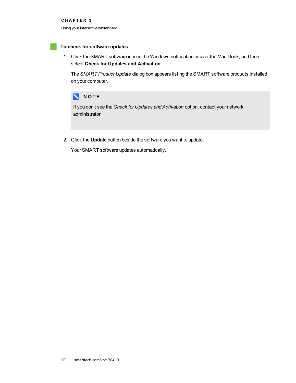Using your interactive whiteboard

#### **To check for software updates**

1. Click the SMART software icon in the Windows notification area or the Mac Dock, and then select **Check for Updates and Activation**.

The *SMART Product Update* dialog box appears listing the SMART software products installed on your computer.

## **NOTE**

If you don't see the *Check for Updates and Activation* option, contact your network administrator.

2. Click the **Update** button beside the software you want to update.

Your SMART software updates automatically.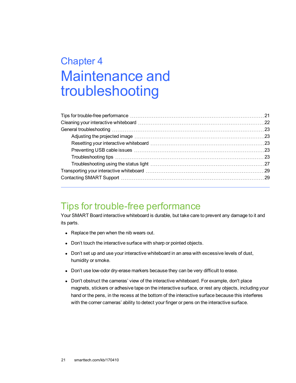# <span id="page-26-0"></span>Chapter 4 Maintenance and troubleshooting

# <span id="page-26-1"></span>Tips for trouble-free performance

Your SMART Board interactive whiteboard is durable, but take care to prevent any damage to it and its parts.

- Replace the pen when the nib wears out.
- <span id="page-26-2"></span>• Don't touch the interactive surface with sharp or pointed objects.
- Don't set up and use your interactive whiteboard in an area with excessive levels of dust, humidity or smoke.
- Don't use low-odor dry-erase markers because they can be very difficult to erase.
- Don't obstruct the cameras' view of the interactive whiteboard. For example, don't place magnets, stickers or adhesive tape on the interactive surface, or rest any objects, including your hand or the pens, in the recess at the bottom of the interactive surface because this interferes with the corner cameras' ability to detect your finger or pens on the interactive surface.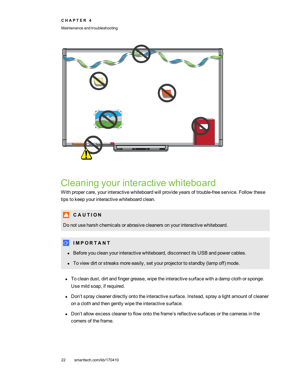Maintenance and troubleshooting



# <span id="page-27-0"></span>Cleaning your interactive whiteboard

With proper care, your interactive whiteboard will provide years of trouble-free service. Follow these tips to keep your interactive whiteboard clean.

#### **C A U T I O N** A

Do not use harsh chemicals or abrasive cleaners on your interactive whiteboard.

#### **I M P O R T A N T**

- Before you clean your interactive whiteboard, disconnect its USB and power cables.
- To view dirt or streaks more easily, set your projector to standby (lamp off) mode.
- To clean dust, dirt and finger grease, wipe the interactive surface with a damp cloth or sponge. Use mild soap, if required.
- Don't spray cleaner directly onto the interactive surface. Instead, spray a light amount of cleaner on a cloth and then gently wipe the interactive surface.
- Don't allow excess cleaner to flow onto the frame's reflective surfaces or the cameras in the corners of the frame.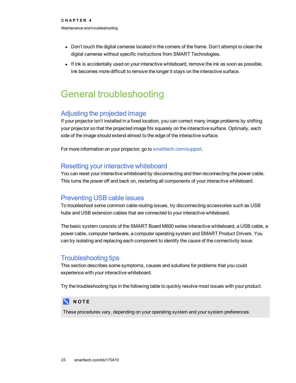Maintenance and troubleshooting

- Don't touch the digital cameras located in the corners of the frame. Don't attempt to clean the digital cameras without specific instructions from SMART Technologies.
- <span id="page-28-5"></span>If ink is accidentally used on your interactive whiteboard, remove the ink as soon as possible. Ink becomes more difficult to remove the longer it stays on the interactive surface.

# <span id="page-28-0"></span>General troubleshooting

## <span id="page-28-1"></span>Adjusting the projected image

If your projector isn't installed in a fixed location, you can correct many image problems by shifting your projector so that the projected image fits squarely on the interactive surface. Optimally, each side of the image should extend almost to the edge of the interactive surface.

<span id="page-28-2"></span>For more information on your projector, go to [smarttech.com/support](http://www.smarttech.com/support).

## Resetting your interactive whiteboard

You can reset your interactive whiteboard by disconnecting and then reconnecting the power cable. This turns the power off and back on, restarting all components of your interactive whiteboard.

## <span id="page-28-3"></span>Preventing USB cable issues

To troubleshoot some common cable routing issues, try disconnecting accessories such as USB hubs and USB extension cables that are connected to your interactive whiteboard.

The basic system consists of the SMART Board M600 series interactive whiteboard, a USB cable, a power cable, computer hardware, a computer operating system and SMART Product Drivers. You can try isolating and replacing each component to identify the cause of the connectivity issue.

## <span id="page-28-4"></span>Troubleshooting tips

This section describes some symptoms, causes and solutions for problems that you could experience with your interactive whiteboard.

Try the troubleshooting tips in the following table to quickly resolve most issues with your product.

## **NOTE**

These procedures vary, depending on your operating system and your system preferences.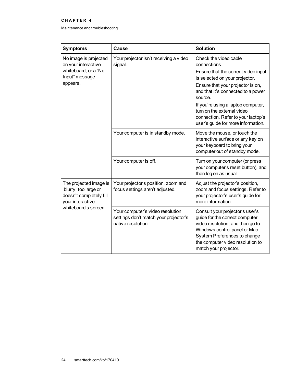Maintenance and troubleshooting

| <b>Symptoms</b>                                                                                                       | Cause                                                                                           | <b>Solution</b>                                                                                                                                                                                                                                                                                                                                      |
|-----------------------------------------------------------------------------------------------------------------------|-------------------------------------------------------------------------------------------------|------------------------------------------------------------------------------------------------------------------------------------------------------------------------------------------------------------------------------------------------------------------------------------------------------------------------------------------------------|
| No image is projected<br>on your interactive<br>whiteboard, or a "No<br>Input" message<br>appears.                    | Your projector isn't receiving a video<br>signal.                                               | Check the video cable<br>connections.<br>Ensure that the correct video input<br>is selected on your projector.<br>Ensure that your projector is on,<br>and that it's connected to a power<br>source.<br>If you're using a laptop computer,<br>turn on the external video<br>connection. Refer to your laptop's<br>user's guide for more information. |
|                                                                                                                       | Your computer is in standby mode.                                                               | Move the mouse, or touch the<br>interactive surface or any key on<br>your keyboard to bring your<br>computer out of standby mode.                                                                                                                                                                                                                    |
|                                                                                                                       | Your computer is off.                                                                           | Turn on your computer (or press<br>your computer's reset button), and<br>then log on as usual.                                                                                                                                                                                                                                                       |
| The projected image is<br>blurry, too large or<br>doesn't completely fill<br>your interactive<br>whiteboard's screen. | Your projector's position, zoom and<br>focus settings aren't adjusted.                          | Adjust the projector's position,<br>zoom and focus settings. Refer to<br>your projector's user's guide for<br>more information.                                                                                                                                                                                                                      |
|                                                                                                                       | Your computer's video resolution<br>settings don't match your projector's<br>native resolution. | Consult your projector's user's<br>guide for the correct computer<br>video resolution, and then go to<br>Windows control panel or Mac<br>System Preferences to change<br>the computer video resolution to<br>match your projector.                                                                                                                   |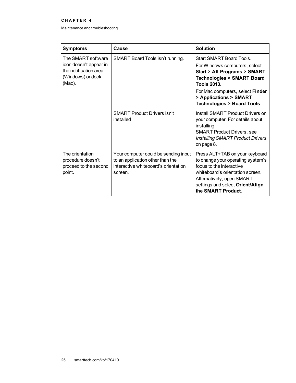Maintenance and troubleshooting

| <b>Symptoms</b>                                                                                      | Cause                                                                                                                       | <b>Solution</b>                                                                                                                                                                                                                                                            |
|------------------------------------------------------------------------------------------------------|-----------------------------------------------------------------------------------------------------------------------------|----------------------------------------------------------------------------------------------------------------------------------------------------------------------------------------------------------------------------------------------------------------------------|
| The SMART software<br>icon doesn't appear in<br>the notification area<br>(Windows) or dock<br>(Mac). | <b>SMART Board Tools isn't running.</b>                                                                                     | Start SMART Board Tools.<br>For Windows computers, select<br><b>Start &gt; All Programs &gt; SMART</b><br><b>Technologies &gt; SMART Board</b><br><b>Tools 2013</b><br>For Mac computers, select Finder<br>> Applications > SMART<br><b>Technologies &gt; Board Tools.</b> |
|                                                                                                      | <b>SMART Product Drivers isn't</b><br>installed                                                                             | Install SMART Product Drivers on<br>your computer. For details about<br>installing<br><b>SMART Product Drivers, see</b><br><b>Installing SMART Product Drivers</b><br>on page 8.                                                                                           |
| The orientation<br>procedure doesn't<br>proceed to the second<br>point.                              | Your computer could be sending input<br>to an application other than the<br>interactive whiteboard's orientation<br>screen. | Press ALT+TAB on your keyboard<br>to change your operating system's<br>focus to the interactive<br>whiteboard's orientation screen.<br>Alternatively, open SMART<br>settings and select Orient/Align<br>the SMART Product.                                                 |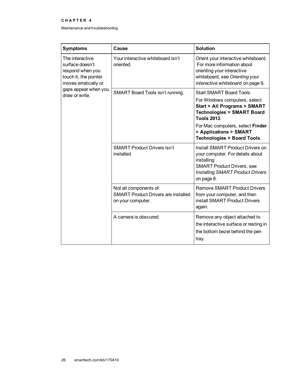Maintenance and troubleshooting

| <b>Symptoms</b>                                                                                                                                   | Cause                                                                                    | Solution                                                                                                                                                                                                                                                                   |
|---------------------------------------------------------------------------------------------------------------------------------------------------|------------------------------------------------------------------------------------------|----------------------------------------------------------------------------------------------------------------------------------------------------------------------------------------------------------------------------------------------------------------------------|
| The interactive<br>surface doesn't<br>respond when you<br>touch it, the pointer<br>moves erratically or<br>gaps appear when you<br>draw or write. | Your interactive whiteboard isn't<br>oriented.                                           | Orient your interactive whiteboard.<br>For more information about<br>orienting your interactive<br>whiteboard, see Orienting your<br>interactive whiteboard on page 9.                                                                                                     |
|                                                                                                                                                   | <b>SMART Board Tools isn't running.</b>                                                  | Start SMART Board Tools.<br>For Windows computers, select<br><b>Start &gt; All Programs &gt; SMART</b><br><b>Technologies &gt; SMART Board</b><br><b>Tools 2013</b><br>For Mac computers, select Finder<br>> Applications > SMART<br><b>Technologies &gt; Board Tools.</b> |
|                                                                                                                                                   | <b>SMART Product Drivers isn't</b><br>installed.                                         | Install SMART Product Drivers on<br>your computer. For details about<br>installing<br><b>SMART Product Drivers, see</b><br><b>Installing SMART Product Drivers</b><br>on page 8.                                                                                           |
|                                                                                                                                                   | Not all components of<br><b>SMART Product Drivers are installed</b><br>on your computer. | <b>Remove SMART Product Drivers</b><br>from your computer, and then<br>install SMART Product Drivers<br>again.                                                                                                                                                             |
|                                                                                                                                                   | A camera is obscured.                                                                    | Remove any object attached to<br>the interactive surface or resting in<br>the bottom bezel behind the pen<br>tray.                                                                                                                                                         |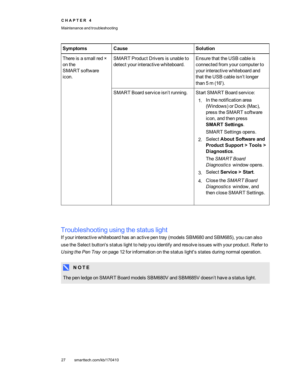Maintenance and troubleshooting

| <b>Symptoms</b>                                                           | Cause                                                                            | <b>Solution</b>                                                                                                                                                                                                                                                                                                                                                                                                                                                                                    |
|---------------------------------------------------------------------------|----------------------------------------------------------------------------------|----------------------------------------------------------------------------------------------------------------------------------------------------------------------------------------------------------------------------------------------------------------------------------------------------------------------------------------------------------------------------------------------------------------------------------------------------------------------------------------------------|
| There is a small red $\times$<br>on the<br><b>SMART</b> software<br>icon. | <b>SMART Product Drivers is unable to</b><br>detect your interactive whiteboard. | Ensure that the USB cable is<br>connected from your computer to<br>your interactive whiteboard and<br>that the USB cable isn't longer<br>than $5 \text{ m}$ (16').                                                                                                                                                                                                                                                                                                                                 |
|                                                                           | SMART Board service isn't running.                                               | <b>Start SMART Board service:</b><br>In the notification area<br>$\mathbf 1$<br>(Windows) or Dock (Mac),<br>press the SMART software<br>icon, and then press<br><b>SMART Settings.</b><br><b>SMART Settings opens.</b><br>Select About Software and<br>$\mathcal{P}$<br><b>Product Support &gt; Tools &gt;</b><br>Diagnostics.<br>The SMART Board<br>Diagnostics window opens.<br>Select Service > Start.<br>3<br>4 Close the SMART Board<br>Diagnostics window, and<br>then close SMART Settings. |

## <span id="page-32-0"></span>Troubleshooting using the status light

If your interactive whiteboard has an active pen tray (models SBM680 and SBM685), you can also use the Select button's status light to help you identify and resolve issues with your product. Refer to *[Using](#page-17-0) the Pen Tray* on page 12 for information on the status light's states during normal operation.

## **NOTE**

The pen ledge on SMART Board models SBM680V and SBM685V doesn't have a status light.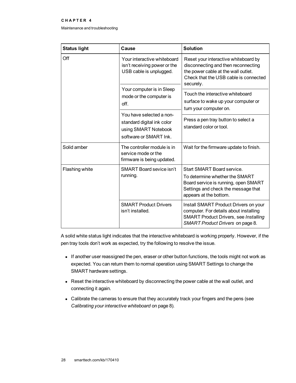Maintenance and troubleshooting

| <b>Status light</b> | Cause                                                                                                    | <b>Solution</b>                                                                                                                                                          |
|---------------------|----------------------------------------------------------------------------------------------------------|--------------------------------------------------------------------------------------------------------------------------------------------------------------------------|
| Off                 | Your interactive whiteboard<br>isn't receiving power or the<br>USB cable is unplugged.                   | Reset your interactive whiteboard by<br>disconnecting and then reconnecting<br>the power cable at the wall outlet.<br>Check that the USB cable is connected<br>securely. |
|                     | Your computer is in Sleep<br>mode or the computer is<br>off.                                             | Touch the interactive whiteboard<br>surface to wake up your computer or<br>turn your computer on.                                                                        |
|                     | You have selected a non-<br>standard digital ink color<br>using SMART Notebook<br>software or SMART Ink. | Press a pen tray button to select a<br>standard color or tool.                                                                                                           |
| Solid amber         | The controller module is in<br>service mode or the<br>firmware is being updated.                         | Wait for the firmware update to finish.                                                                                                                                  |
| Flashing white      | <b>SMART Board sevice isn't</b><br>running.                                                              | Start SMART Board service.<br>To determine whether the SMART<br>Board service is running, open SMART<br>Settings and check the message that<br>appears at the bottom.    |
|                     | <b>SMART Product Drivers</b><br>isn't installed.                                                         | Install SMART Product Drivers on your<br>computer. For details about installing<br><b>SMART Product Drivers, see Installing</b><br>SMART Product Drivers on page 8.      |

A solid white status light indicates that the interactive whiteboard is working properly. However, if the pen tray tools don't work as expected, try the following to resolve the issue.

- If another user reassigned the pen, eraser or other button functions, the tools might not work as expected. You can return them to normal operation using SMART Settings to change the SMART hardware settings.
- Reset the interactive whiteboard by disconnecting the power cable at the wall outlet, and connecting it again.
- Calibrate the cameras to ensure that they accurately track your fingers and the pens (see *Calibrating your interactive [whiteboard](#page-13-1)* on page 8).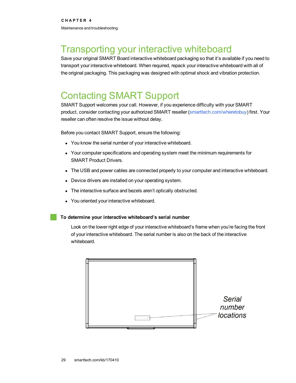# <span id="page-34-0"></span>Transporting your interactive whiteboard

Save your original SMART Board interactive whiteboard packaging so that it's available if you need to transport your interactive whiteboard. When required, repack your interactive whiteboard with all of the original packaging. This packaging was designed with optimal shock and vibration protection.

# <span id="page-34-1"></span>Contacting SMART Support

SMART Support welcomes your call. However, if you experience difficulty with your SMART product, consider contacting your authorized SMART reseller [\(smarttech.com/wheretobuy\)](http://www.smarttech.com/wheretobuy) first. Your reseller can often resolve the issue without delay.

Before you contact SMART Support, ensure the following:

- You know the serial number of your interactive whiteboard.
- Your computer specifications and operating system meet the minimum requirements for SMART Product Drivers.
- The USB and power cables are connected properly to your computer and interactive whiteboard.
- Device drivers are installed on your operating system.
- The interactive surface and bezels aren't optically obstructed.
- You oriented your interactive whiteboard.

#### <span id="page-34-2"></span>**To determine your interactive whiteboard's serial number**

Look on the lower right edge of your interactive whiteboard's frame when you're facing the front of your interactive whiteboard. The serial number is also on the back of the interactive whiteboard.

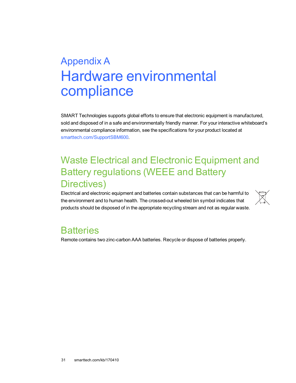# <span id="page-36-0"></span>Appendix A Hardware environmental compliance

SMART Technologies supports global efforts to ensure that electronic equipment is manufactured, sold and disposed of in a safe and environmentally friendly manner. For your interactive whiteboard's environmental compliance information, see the specifications for your product located at [smarttech.com/SupportSBM600.](http://www.smarttech.com/SupportSBM600)

# <span id="page-36-1"></span>Waste Electrical and Electronic Equipment and Battery regulations (WEEE and Battery Directives)

Electrical and electronic equipment and batteries contain substances that can be harmful to the environment and to human health. The crossed-out wheeled bin symbol indicates that products should be disposed of in the appropriate recycling stream and not as regular waste.



# <span id="page-36-2"></span>**Batteries**

Remote contains two zinc-carbon AAA batteries. Recycle or dispose of batteries properly.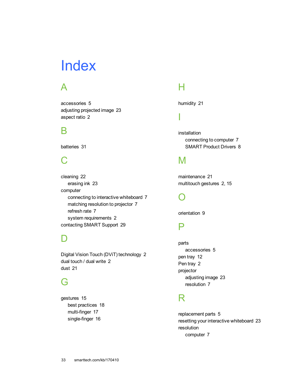# <span id="page-38-0"></span>**Index**

# A

accessories [5](#page-10-0) adjusting projected image [23](#page-28-1) aspect ratio [2](#page-7-8)

## B

batteries [31](#page-36-1)

# $\mathsf{C}$

cleaning [22](#page-27-0) erasing ink [23](#page-28-5) computer connecting to interactive whiteboard [7](#page-12-0) matching resolution to projector [7](#page-12-2) refresh rate [7](#page-12-3) system requirements [2](#page-7-1) contacting SMART Support [29](#page-34-1)

## $\blacksquare$

Digital Vision Touch (DViT) technology [2](#page-7-8) dual touch / dual write [2](#page-7-6) dust [21](#page-26-2)

## G

gestures [15](#page-20-0) best practices [18](#page-23-2) multi-finger [17](#page-22-1) single-finger [16](#page-21-0)

# H

humidity [21](#page-26-2)

I

installation connecting to computer [7](#page-12-0) SMART Product Drivers [8](#page-13-0)

## M

maintenance [21](#page-26-0) multitouch gestures [2,](#page-7-5) [15](#page-20-0)

## $\bigcap$

orientation [9](#page-14-0)

## P

parts accessories [5](#page-10-0) pen tray [12](#page-17-0) Pen tray [2](#page-7-3) projector adjusting image [23](#page-28-1) resolution [7](#page-12-2)

## R

replacement parts [5](#page-10-2) resetting your interactive whiteboard [23](#page-28-2) resolution computer [7](#page-12-2)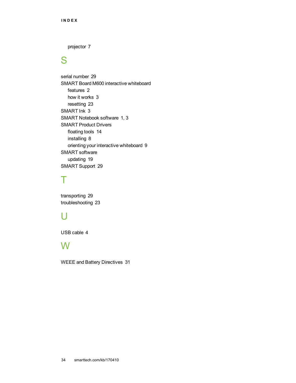projector [7](#page-12-2)

# S

serial number [29](#page-34-2) SMART Board M600 interactive whiteboard features [2](#page-7-0) how it works [3](#page-8-0) resetting [23](#page-28-2) SMART Ink [3](#page-8-2) SMART Notebook software [1](#page-6-2), [3](#page-8-3) SMART Product Drivers floating tools [14](#page-19-0) installing [8](#page-13-0) orienting your interactive whiteboard [9](#page-14-0) SMART software updating [19](#page-24-0) SMART Support [29](#page-34-1)

## T

transporting [29](#page-34-0) troubleshooting [23](#page-28-0)

## U

USB cable [4](#page-9-1)

## W

WEEE and Battery Directives [31](#page-36-1)